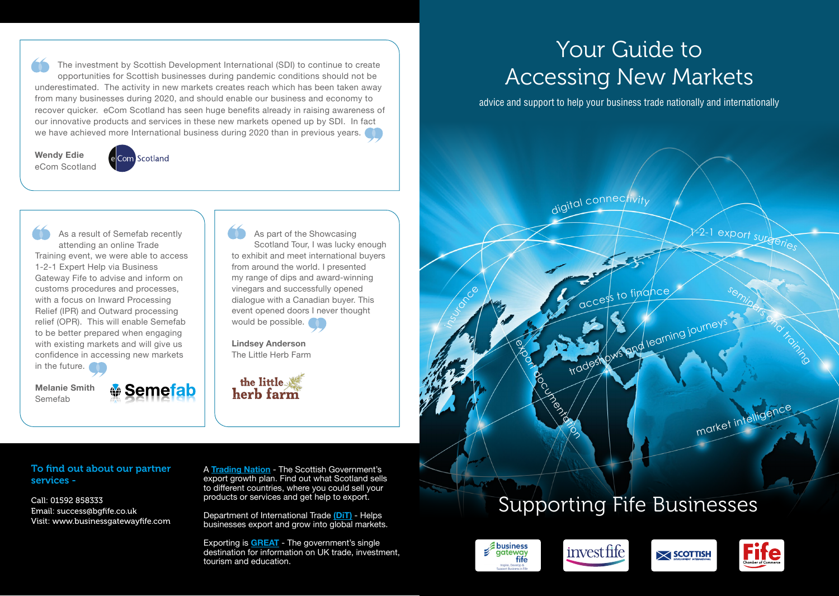The investment by Scottish Development International (SDI) to continue to create opportunities for Scottish businesses during pandemic conditions should not be underestimated. The activity in new markets creates reach which has been taken away from many businesses during 2020, and should enable our business and economy to recover quicker. eCom Scotland has seen huge benefits already in raising awareness of our innovative products and services in these new markets opened up by SDI. In fact we have achieved more International business during 2020 than in previous years.

**Wendy Edie** eCom Scotland

e Com Scotland

As a result of Semefab recently attending an online Trade Training event, we were able to access 1-2-1 Expert Help via Business Gateway Fife to advise and inform on customs procedures and processes, with a focus on Inward Processing Relief (IPR) and Outward processing relief (OPR). This will enable Semefab to be better prepared when engaging with existing markets and will give us confidence in accessing new markets in the future.

**Melanie Smith** Semefab

**<del>
</del> Semefab** 

As part of the Showcasing Scotland Tour, I was lucky enough to exhibit and meet international buyers from around the world. I presented my range of dips and award-winning vinegars and successfully opened dialogue with a Canadian buyer. This event opened doors I never thought would be possible.

**Lindsey Anderson** The Little Herb Farm



# Your Guide to Accessing New Markets

advice and support to help your business trade nationally and internationally

digital connectivity

## Supporting Fife Businesses



insurance



Processing



tradeshows and learning journey

to finance



seminars and training

market intelligence

export su

A **[Trading Nation](https://tradingnation.mygov.scot/)** - The Scottish Government's export growth plan. Find out what Scotland sells to different countries, where you could sell your products or services and get help to export.

Department of International Trade **[\(DiT\)](https://www.gov.uk/government/organisations/department-for-international-trade/about-our-services)** - Helps businesses export and grow into global markets.

Exporting is **[GREAT](https://www.great.gov.uk/)** - The government's single destination for information on UK trade, investment, tourism and education.

### To find out about our partner services -

Call: 01592 858333 Email: success@bgfife.co.uk Visit: www.businessgatewayfife.com